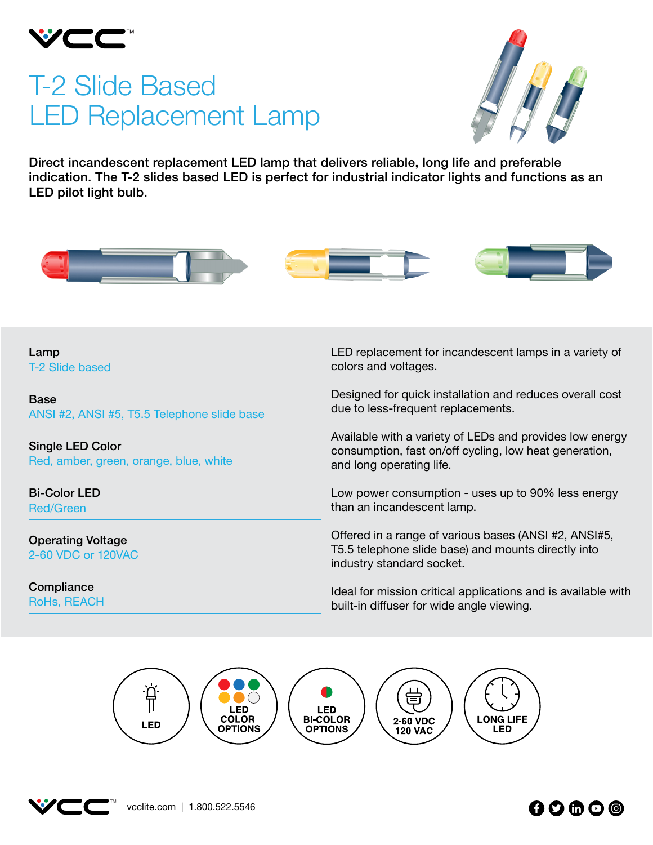

# T-2 Slide Based LED Replacement Lamp



Direct incandescent replacement LED lamp that delivers reliable, long life and preferable indication. The T-2 slides based LED is perfect for industrial indicator lights and functions as an LED pilot light bulb.



Lamp T-2 Slide based

Base ANSI #2, ANSI #5, T5.5 Telephone slide base

Single LED Color Red, amber, green, orange, blue, white

Bi-Color LED Red/Green

Operating Voltage 2-60 VDC or 120VAC

**Compliance** RoHs, REACH LED replacement for incandescent lamps in a variety of colors and voltages.

Designed for quick installation and reduces overall cost due to less-frequent replacements.

Available with a variety of LEDs and provides low energy consumption, fast on/off cycling, low heat generation, and long operating life.

Low power consumption - uses up to 90% less energy than an incandescent lamp.

Offered in a range of various bases (ANSI #2, ANSI#5, T5.5 telephone slide base) and mounts directly into industry standard socket.

Ideal for mission critical applications and is available with built-in diffuser for wide angle viewing.